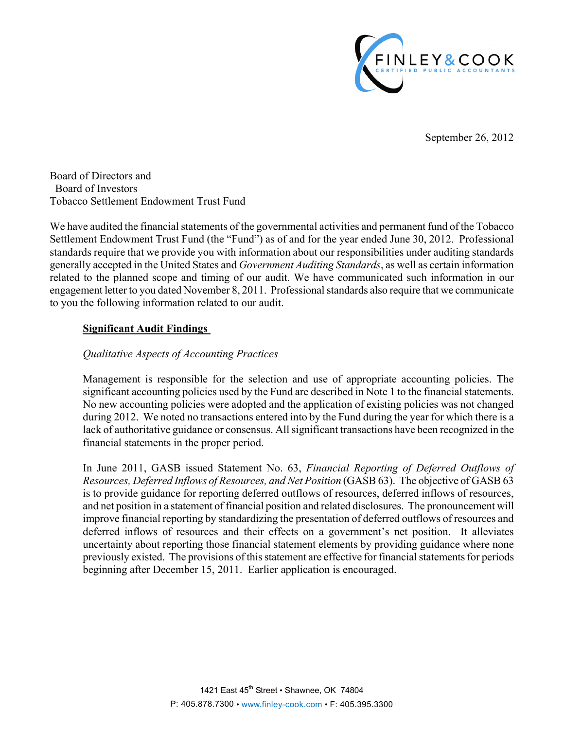

September 26, 2012

Board of Directors and Board of Investors Tobacco Settlement Endowment Trust Fund

We have audited the financial statements of the governmental activities and permanent fund of the Tobacco Settlement Endowment Trust Fund (the "Fund") as of and for the year ended June 30, 2012. Professional standards require that we provide you with information about our responsibilities under auditing standards generally accepted in the United States and *Government Auditing Standards*, as well as certain information related to the planned scope and timing of our audit. We have communicated such information in our engagement letter to you dated November 8, 2011. Professional standards also require that we communicate to you the following information related to our audit.

## **Significant Audit Findings**

## *Qualitative Aspects of Accounting Practices*

Management is responsible for the selection and use of appropriate accounting policies. The significant accounting policies used by the Fund are described in Note 1 to the financial statements. No new accounting policies were adopted and the application of existing policies was not changed during 2012. We noted no transactions entered into by the Fund during the year for which there is a lack of authoritative guidance or consensus. All significant transactions have been recognized in the financial statements in the proper period.

In June 2011, GASB issued Statement No. 63, *Financial Reporting of Deferred Outflows of Resources, Deferred Inflows of Resources, and Net Position* (GASB 63). The objective of GASB 63 is to provide guidance for reporting deferred outflows of resources, deferred inflows of resources, and net position in a statement of financial position and related disclosures. The pronouncement will improve financial reporting by standardizing the presentation of deferred outflows of resources and deferred inflows of resources and their effects on a government's net position. It alleviates uncertainty about reporting those financial statement elements by providing guidance where none previously existed. The provisions of this statement are effective for financial statements for periods beginning after December 15, 2011. Earlier application is encouraged.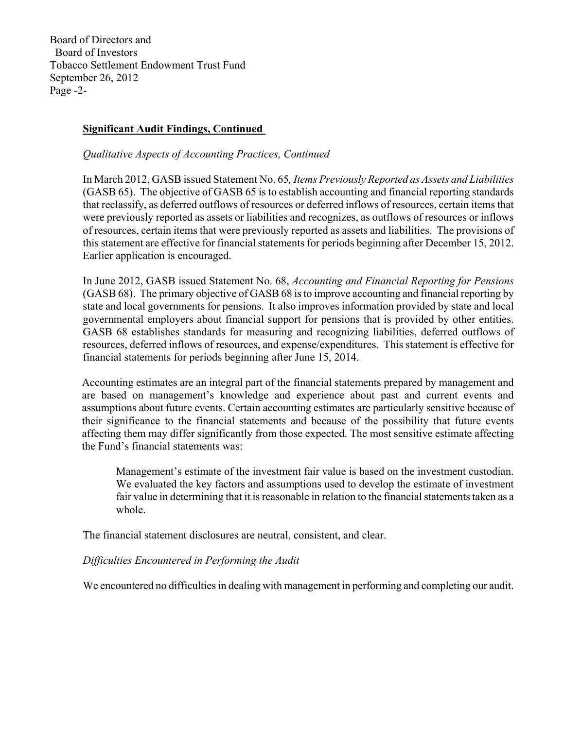Board of Directors and Board of Investors Tobacco Settlement Endowment Trust Fund September 26, 2012 Page -2-

# **Significant Audit Findings, Continued**

## *Qualitative Aspects of Accounting Practices, Continued*

In March 2012, GASB issued Statement No. 65*, Items Previously Reported as Assets and Liabilities*  (GASB 65). The objective of GASB 65 is to establish accounting and financial reporting standards that reclassify, as deferred outflows of resources or deferred inflows of resources, certain items that were previously reported as assets or liabilities and recognizes, as outflows of resources or inflows of resources, certain items that were previously reported as assets and liabilities. The provisions of this statement are effective for financial statements for periods beginning after December 15, 2012. Earlier application is encouraged.

In June 2012, GASB issued Statement No. 68, *Accounting and Financial Reporting for Pensions* (GASB 68). The primary objective of GASB 68 is to improve accounting and financial reporting by state and local governments for pensions. It also improves information provided by state and local governmental employers about financial support for pensions that is provided by other entities. GASB 68 establishes standards for measuring and recognizing liabilities, deferred outflows of resources, deferred inflows of resources, and expense/expenditures. This statement is effective for financial statements for periods beginning after June 15, 2014.

Accounting estimates are an integral part of the financial statements prepared by management and are based on management's knowledge and experience about past and current events and assumptions about future events. Certain accounting estimates are particularly sensitive because of their significance to the financial statements and because of the possibility that future events affecting them may differ significantly from those expected. The most sensitive estimate affecting the Fund's financial statements was:

Management's estimate of the investment fair value is based on the investment custodian. We evaluated the key factors and assumptions used to develop the estimate of investment fair value in determining that it is reasonable in relation to the financial statements taken as a whole.

The financial statement disclosures are neutral, consistent, and clear.

# *Difficulties Encountered in Performing the Audit*

We encountered no difficulties in dealing with management in performing and completing our audit.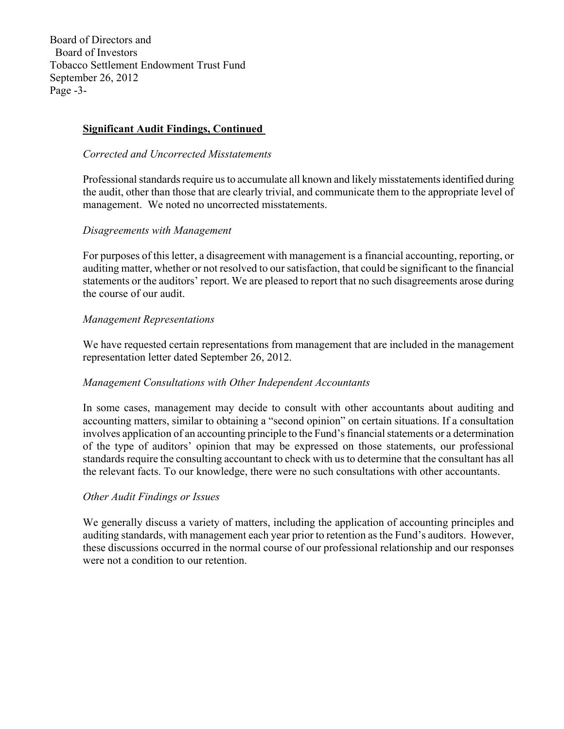Board of Directors and Board of Investors Tobacco Settlement Endowment Trust Fund September 26, 2012 Page -3-

# **Significant Audit Findings, Continued**

## *Corrected and Uncorrected Misstatements*

Professional standards require us to accumulate all known and likely misstatements identified during the audit, other than those that are clearly trivial, and communicate them to the appropriate level of management. We noted no uncorrected misstatements.

#### *Disagreements with Management*

For purposes of this letter, a disagreement with management is a financial accounting, reporting, or auditing matter, whether or not resolved to our satisfaction, that could be significant to the financial statements or the auditors' report. We are pleased to report that no such disagreements arose during the course of our audit.

## *Management Representations*

We have requested certain representations from management that are included in the management representation letter dated September 26, 2012.

#### *Management Consultations with Other Independent Accountants*

In some cases, management may decide to consult with other accountants about auditing and accounting matters, similar to obtaining a "second opinion" on certain situations. If a consultation involves application of an accounting principle to the Fund's financial statements or a determination of the type of auditors' opinion that may be expressed on those statements, our professional standards require the consulting accountant to check with us to determine that the consultant has all the relevant facts. To our knowledge, there were no such consultations with other accountants.

#### *Other Audit Findings or Issues*

We generally discuss a variety of matters, including the application of accounting principles and auditing standards, with management each year prior to retention as the Fund's auditors. However, these discussions occurred in the normal course of our professional relationship and our responses were not a condition to our retention.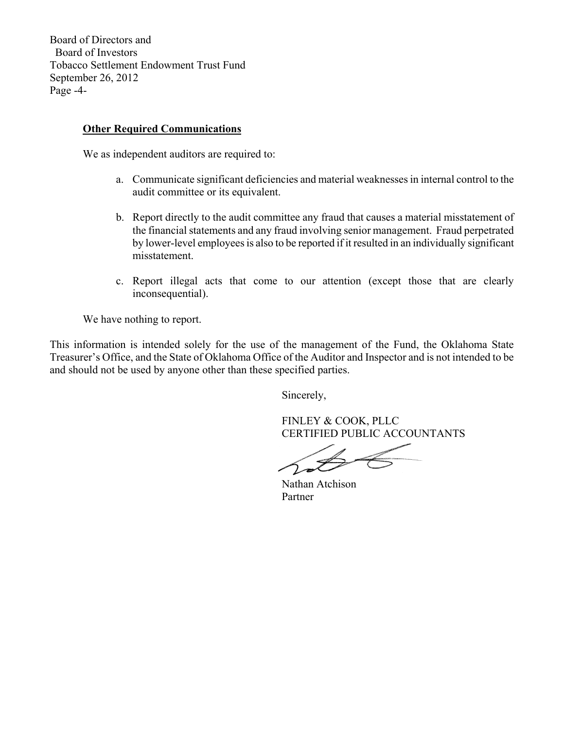Board of Directors and Board of Investors Tobacco Settlement Endowment Trust Fund September 26, 2012 Page -4-

## **Other Required Communications**

We as independent auditors are required to:

- a. Communicate significant deficiencies and material weaknesses in internal control to the audit committee or its equivalent.
- b. Report directly to the audit committee any fraud that causes a material misstatement of the financial statements and any fraud involving senior management. Fraud perpetrated by lower-level employees is also to be reported if it resulted in an individually significant misstatement.
- c. Report illegal acts that come to our attention (except those that are clearly inconsequential).

We have nothing to report.

This information is intended solely for the use of the management of the Fund, the Oklahoma State Treasurer's Office, and the State of Oklahoma Office of the Auditor and Inspector and is not intended to be and should not be used by anyone other than these specified parties.

Sincerely,

 FINLEY & COOK, PLLC CERTIFIED PUBLIC ACCOUNTANTS

 Nathan Atchison Partner